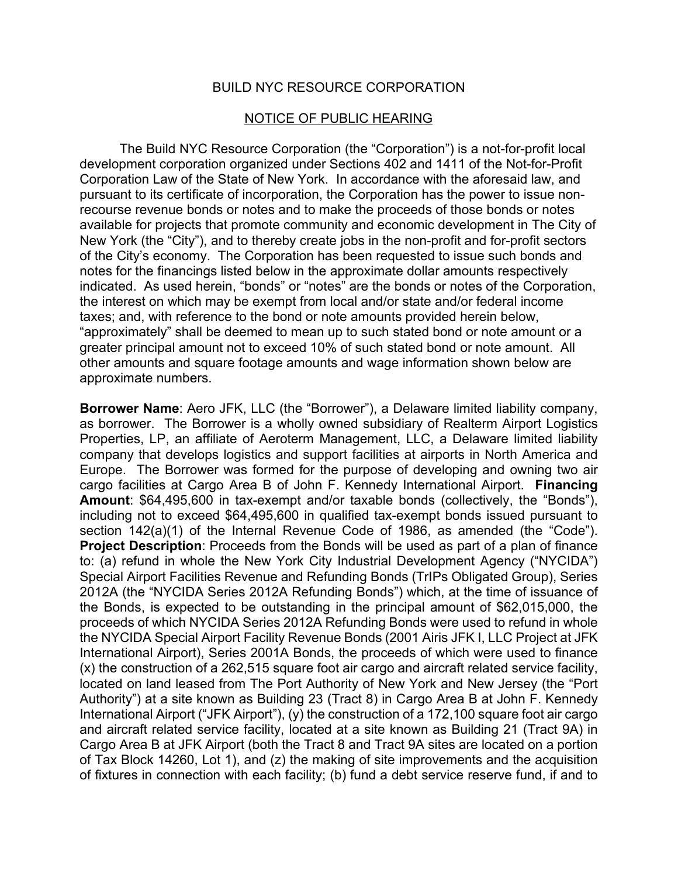## BUILD NYC RESOURCE CORPORATION

## NOTICE OF PUBLIC HEARING

The Build NYC Resource Corporation (the "Corporation") is a not-for-profit local development corporation organized under Sections 402 and 1411 of the Not-for-Profit Corporation Law of the State of New York. In accordance with the aforesaid law, and pursuant to its certificate of incorporation, the Corporation has the power to issue nonrecourse revenue bonds or notes and to make the proceeds of those bonds or notes available for projects that promote community and economic development in The City of New York (the "City"), and to thereby create jobs in the non-profit and for-profit sectors of the City's economy. The Corporation has been requested to issue such bonds and notes for the financings listed below in the approximate dollar amounts respectively indicated. As used herein, "bonds" or "notes" are the bonds or notes of the Corporation, the interest on which may be exempt from local and/or state and/or federal income taxes; and, with reference to the bond or note amounts provided herein below, "approximately" shall be deemed to mean up to such stated bond or note amount or a greater principal amount not to exceed 10% of such stated bond or note amount. All other amounts and square footage amounts and wage information shown below are approximate numbers.

**Borrower Name**: Aero JFK, LLC (the "Borrower"), a Delaware limited liability company, as borrower. The Borrower is a wholly owned subsidiary of Realterm Airport Logistics Properties, LP, an affiliate of Aeroterm Management, LLC, a Delaware limited liability company that develops logistics and support facilities at airports in North America and Europe. The Borrower was formed for the purpose of developing and owning two air cargo facilities at Cargo Area B of John F. Kennedy International Airport. **Financing Amount**: \$64,495,600 in tax-exempt and/or taxable bonds (collectively, the "Bonds"), including not to exceed \$64,495,600 in qualified tax-exempt bonds issued pursuant to section 142(a)(1) of the Internal Revenue Code of 1986, as amended (the "Code"). **Project Description**: Proceeds from the Bonds will be used as part of a plan of finance to: (a) refund in whole the New York City Industrial Development Agency ("NYCIDA") Special Airport Facilities Revenue and Refunding Bonds (TrIPs Obligated Group), Series 2012A (the "NYCIDA Series 2012A Refunding Bonds") which, at the time of issuance of the Bonds, is expected to be outstanding in the principal amount of \$62,015,000, the proceeds of which NYCIDA Series 2012A Refunding Bonds were used to refund in whole the NYCIDA Special Airport Facility Revenue Bonds (2001 Airis JFK I, LLC Project at JFK International Airport), Series 2001A Bonds, the proceeds of which were used to finance (x) the construction of a 262,515 square foot air cargo and aircraft related service facility, located on land leased from The Port Authority of New York and New Jersey (the "Port Authority") at a site known as Building 23 (Tract 8) in Cargo Area B at John F. Kennedy International Airport ("JFK Airport"), (y) the construction of a 172,100 square foot air cargo and aircraft related service facility, located at a site known as Building 21 (Tract 9A) in Cargo Area B at JFK Airport (both the Tract 8 and Tract 9A sites are located on a portion of Tax Block 14260, Lot 1), and (z) the making of site improvements and the acquisition of fixtures in connection with each facility; (b) fund a debt service reserve fund, if and to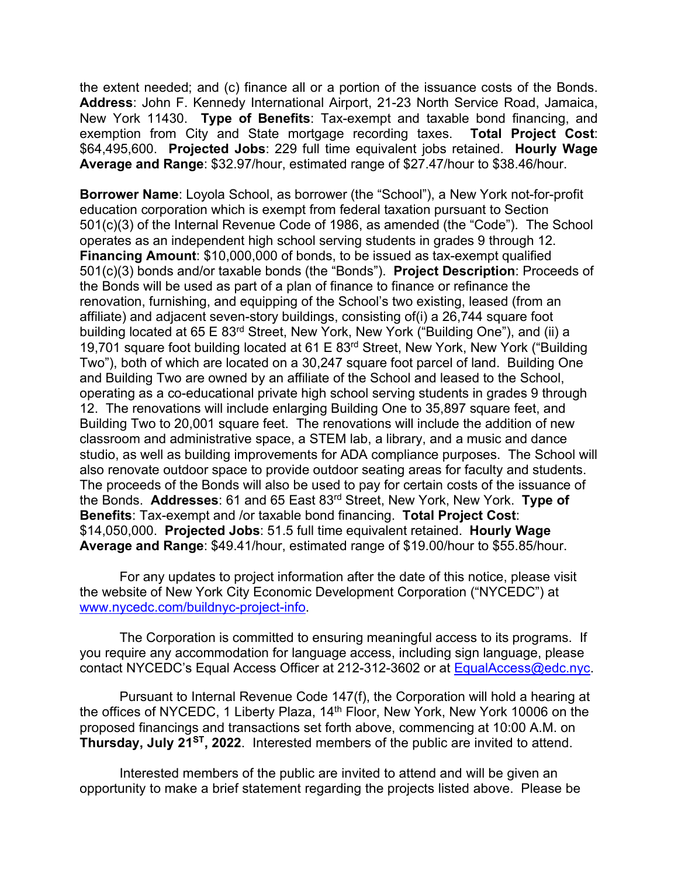the extent needed; and (c) finance all or a portion of the issuance costs of the Bonds. **Address**: John F. Kennedy International Airport, 21-23 North Service Road, Jamaica, New York 11430. **Type of Benefits**: Tax-exempt and taxable bond financing, and exemption from City and State mortgage recording taxes. \$64,495,600. **Projected Jobs**: 229 full time equivalent jobs retained. **Hourly Wage Average and Range**: \$32.97/hour, estimated range of \$27.47/hour to \$38.46/hour.

**Borrower Name**: Loyola School, as borrower (the "School"), a New York not-for-profit education corporation which is exempt from federal taxation pursuant to Section 501(c)(3) of the Internal Revenue Code of 1986, as amended (the "Code"). The School operates as an independent high school serving students in grades 9 through 12. **Financing Amount**: \$10,000,000 of bonds, to be issued as tax-exempt qualified 501(c)(3) bonds and/or taxable bonds (the "Bonds"). **Project Description**: Proceeds of the Bonds will be used as part of a plan of finance to finance or refinance the renovation, furnishing, and equipping of the School's two existing, leased (from an affiliate) and adjacent seven-story buildings, consisting of(i) a 26,744 square foot building located at 65 E 83rd Street, New York, New York ("Building One"), and (ii) a 19,701 square foot building located at 61 E 83rd Street, New York, New York ("Building Two"), both of which are located on a 30,247 square foot parcel of land. Building One and Building Two are owned by an affiliate of the School and leased to the School, operating as a co-educational private high school serving students in grades 9 through 12. The renovations will include enlarging Building One to 35,897 square feet, and Building Two to 20,001 square feet. The renovations will include the addition of new classroom and administrative space, a STEM lab, a library, and a music and dance studio, as well as building improvements for ADA compliance purposes. The School will also renovate outdoor space to provide outdoor seating areas for faculty and students. The proceeds of the Bonds will also be used to pay for certain costs of the issuance of the Bonds. **Addresses**: 61 and 65 East 83rd Street, New York, New York. **Type of Benefits**: Tax-exempt and /or taxable bond financing. **Total Project Cost**: \$14,050,000. **Projected Jobs**: 51.5 full time equivalent retained. **Hourly Wage Average and Range**: \$49.41/hour, estimated range of \$19.00/hour to \$55.85/hour.

For any updates to project information after the date of this notice, please visit the website of New York City Economic Development Corporation ("NYCEDC") at [www.nycedc.com/buildnyc-project-info.](http://www.nycedc.com/buildnyc-project-info)

The Corporation is committed to ensuring meaningful access to its programs. If you require any accommodation for language access, including sign language, please contact NYCEDC's Equal Access Officer at 212-312-3602 or at [EqualAccess@edc.nyc.](mailto:EqualAccess@edc.nyc)

Pursuant to Internal Revenue Code 147(f), the Corporation will hold a hearing at the offices of NYCEDC, 1 Liberty Plaza, 14th Floor, New York, New York 10006 on the proposed financings and transactions set forth above, commencing at 10:00 A.M. on **Thursday, July 21ST, 2022**. Interested members of the public are invited to attend.

Interested members of the public are invited to attend and will be given an opportunity to make a brief statement regarding the projects listed above. Please be